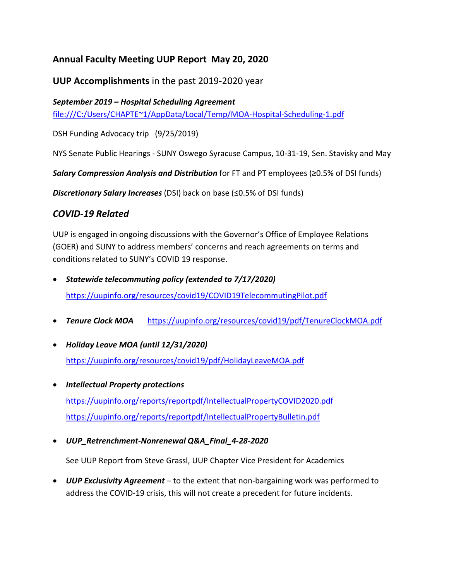## **Annual Faculty Meeting UUP Report May 20, 2020**

**UUP Accomplishments** in the past 2019-2020 year

## *September 2019 – Hospital Scheduling Agreement*

file:///C:/Users/CHAPTE~1/AppData/Local/Temp/MOA-Hospital-Scheduling-1.pdf

DSH Funding Advocacy trip (9/25/2019)

NYS Senate Public Hearings - SUNY Oswego Syracuse Campus, 10-31-19, Sen. Stavisky and May

*Salary Compression Analysis and Distribution* for FT and PT employees (≥0.5% of DSI funds)

*Discretionary Salary Increases* (DSI) back on base (≤0.5% of DSI funds)

## *COVID-19 Related*

UUP is engaged in ongoing discussions with the Governor's Office of Employee Relations (GOER) and SUNY to address members' concerns and reach agreements on terms and conditions related to SUNY's COVID 19 response.

- *Statewide telecommuting policy (extended to 7/17/2020)* <https://uupinfo.org/resources/covid19/COVID19TelecommutingPilot.pdf>
- *Tenure Clock MOA* <https://uupinfo.org/resources/covid19/pdf/TenureClockMOA.pdf>
- *Holiday Leave MOA (until 12/31/2020)* <https://uupinfo.org/resources/covid19/pdf/HolidayLeaveMOA.pdf>
- *Intellectual Property protections* <https://uupinfo.org/reports/reportpdf/IntellectualPropertyCOVID2020.pdf> <https://uupinfo.org/reports/reportpdf/IntellectualPropertyBulletin.pdf>
- *UUP\_Retrenchment-Nonrenewal Q&A\_Final\_4-28-2020*

See UUP Report from Steve Grassl, UUP Chapter Vice President for Academics

• *UUP Exclusivity Agreement* – to the extent that non-bargaining work was performed to address the COVID-19 crisis, this will not create a precedent for future incidents.